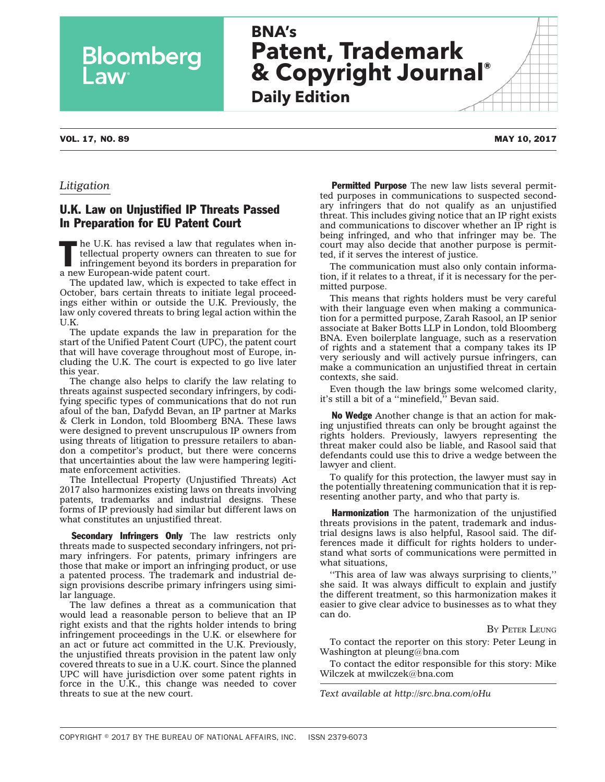# **BNA's Patent, Trademark & Copyright Journal ® Daily Edition**

### VOL. 17, NO. 89 MAY 10, 2017

**Law** 

## *Litigation*

# U.K. Law on Unjustified IP Threats Passed In Preparation for EU Patent Court

Bloomberg

The U.K. has revised a law that regulates when intellectual property owners can threaten to sue for infringement beyond its borders in preparation for tellectual property owners can threaten to sue for a new European-wide patent court.

The updated law, which is expected to take effect in October, bars certain threats to initiate legal proceedings either within or outside the U.K. Previously, the law only covered threats to bring legal action within the U.K.

The update expands the law in preparation for the start of the Unified Patent Court (UPC), the patent court that will have coverage throughout most of Europe, including the U.K. The court is expected to go live later this year.

The change also helps to clarify the law relating to threats against suspected secondary infringers, by codifying specific types of communications that do not run afoul of the ban, Dafydd Bevan, an IP partner at Marks & Clerk in London, told Bloomberg BNA. These laws were designed to prevent unscrupulous IP owners from using threats of litigation to pressure retailers to abandon a competitor's product, but there were concerns that uncertainties about the law were hampering legitimate enforcement activities.

The Intellectual Property (Unjustified Threats) Act 2017 also harmonizes existing laws on threats involving patents, trademarks and industrial designs. These forms of IP previously had similar but different laws on what constitutes an unjustified threat.

Secondary Infringers Only The law restricts only threats made to suspected secondary infringers, not primary infringers. For patents, primary infringers are those that make or import an infringing product, or use a patented process. The trademark and industrial design provisions describe primary infringers using similar language.

The law defines a threat as a communication that would lead a reasonable person to believe that an IP right exists and that the rights holder intends to bring infringement proceedings in the U.K. or elsewhere for an act or future act committed in the U.K. Previously, the unjustified threats provision in the patent law only covered threats to sue in a U.K. court. Since the planned UPC will have jurisdiction over some patent rights in force in the U.K., this change was needed to cover threats to sue at the new court.

**Permitted Purpose** The new law lists several permitted purposes in communications to suspected secondary infringers that do not qualify as an unjustified threat. This includes giving notice that an IP right exists and communications to discover whether an IP right is being infringed, and who that infringer may be. The court may also decide that another purpose is permitted, if it serves the interest of justice.

The communication must also only contain information, if it relates to a threat, if it is necessary for the permitted purpose.

This means that rights holders must be very careful with their language even when making a communication for a permitted purpose, Zarah Rasool, an IP senior associate at Baker Botts LLP in London, told Bloomberg BNA. Even boilerplate language, such as a reservation of rights and a statement that a company takes its IP very seriously and will actively pursue infringers, can make a communication an unjustified threat in certain contexts, she said.

Even though the law brings some welcomed clarity, it's still a bit of a ''minefield,'' Bevan said.

No Wedge Another change is that an action for making unjustified threats can only be brought against the rights holders. Previously, lawyers representing the threat maker could also be liable, and Rasool said that defendants could use this to drive a wedge between the lawyer and client.

To qualify for this protection, the lawyer must say in the potentially threatening communication that it is representing another party, and who that party is.

Harmonization The harmonization of the unjustified threats provisions in the patent, trademark and industrial designs laws is also helpful, Rasool said. The differences made it difficult for rights holders to understand what sorts of communications were permitted in what situations,

''This area of law was always surprising to clients,'' she said. It was always difficult to explain and justify the different treatment, so this harmonization makes it easier to give clear advice to businesses as to what they can do.

#### BY PETER [LEUNG](mailto:pleung@bna.com)

To contact the reporter on this story: Peter Leung in Washington at [pleung@bna.com](mailto:pleung@bna.com)

To contact the editor responsible for this story: Mike Wilczek at [mwilczek@bna.com](mailto:mwilczek@bna.com)

*Text available at<http://src.bna.com/oHu>*